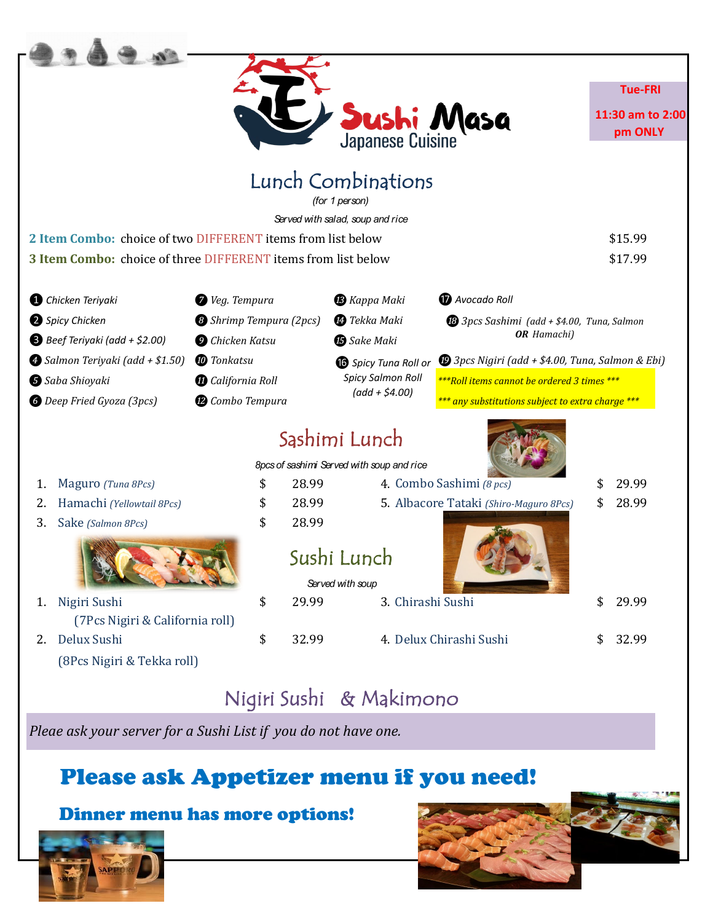|                                                               |                                |                 |                                           |                                                                             |    | <b>Tue-FRI</b>              |
|---------------------------------------------------------------|--------------------------------|-----------------|-------------------------------------------|-----------------------------------------------------------------------------|----|-----------------------------|
|                                                               |                                |                 | Sushi Masa                                |                                                                             |    | 11:30 am to 2:00<br>pm ONLY |
|                                                               |                                |                 | Lunch Combinations<br>(for 1 person)      |                                                                             |    |                             |
|                                                               |                                |                 | Served with salad, soup and rice          |                                                                             |    |                             |
| 2 Item Combo: choice of two DIFFERENT items from list below   |                                |                 |                                           |                                                                             |    | \$15.99                     |
| 3 Item Combo: choice of three DIFFERENT items from list below |                                |                 |                                           |                                                                             |    | \$17.99                     |
| Chicken Teriyaki                                              | Veg. Tempura                   |                 | <b>B</b> Kappa Maki                       | <b>D</b> Avocado Roll                                                       |    |                             |
| Spicy Chicken                                                 | <b>B</b> Shrimp Tempura (2pcs) |                 | <sup>1</sup> Tekka Maki                   | <sup>6</sup> 3pcs Sashimi (add + \$4.00, Tuna, Salmon<br><b>OR</b> Hamachi) |    |                             |
| B Beef Teriyaki (add + \$2.00)                                | <b>O</b> Chicken Katsu         |                 | <b>B</b> Sake Maki                        |                                                                             |    |                             |
| Salmon Teriyaki (add + \$1.50)                                | <b><i>C</i></b> Tonkatsu       |                 |                                           | $\bullet$ 3pcs Nigiri (add + \$4.00, Tuna, Salmon & Ebi)                    |    |                             |
| Saba Shioyaki                                                 |                                | California Roll |                                           | <b>6</b> Spicy Tuna Roll or<br>***Roll items cannot be ordered 3 times ***  |    |                             |
| <b>6</b> Deep Fried Gyoza (3pcs)<br>Combo Tempura             |                                |                 | $(add + $4.00)$                           | *** any substitutions subject to extra charge ***                           |    |                             |
|                                                               |                                |                 | Sąshimi Lunch                             |                                                                             |    |                             |
|                                                               |                                |                 | 8pcs of sashimi Served with soup and rice |                                                                             |    |                             |
| Maguro (Tuna 8Pcs)<br>1.                                      | \$                             | 28.99           |                                           | 4. Combo Sashimi (8 pcs)                                                    |    | 29.99                       |
| Hamachi (Yellowtail 8Pcs)<br>2.                               | \$                             | 28.99           |                                           | 5. Albacore Tataki (Shiro-Maguro 8Pcs)                                      |    | 28.99                       |
| Sake (Salmon 8Pcs)<br>3.                                      | \$                             | 28.99           |                                           |                                                                             |    |                             |
|                                                               |                                |                 | Sushi Lunch                               |                                                                             |    |                             |
|                                                               |                                |                 | Served with soup                          |                                                                             |    |                             |
| Nigiri Sushi<br>1.                                            | \$                             | 29.99           | 3. Chirashi Sushi                         |                                                                             | \$ | 29.99                       |
| (7Pcs Nigiri & California roll)                               |                                |                 |                                           |                                                                             |    |                             |
| Delux Sushi<br>2.                                             | \$                             | 32.99           |                                           | 4. Delux Chirashi Sushi                                                     | \$ | 32.99                       |
| (8Pcs Nigiri & Tekka roll)                                    |                                |                 |                                           |                                                                             |    |                             |
|                                                               |                                |                 |                                           |                                                                             |    |                             |

#### Nigiri Sushi & Makimono

*Pleae ask your server for a Sushi List if you do not have one.*

#### Please ask Appetizer menu if you need!

#### Dinner menu has more options!